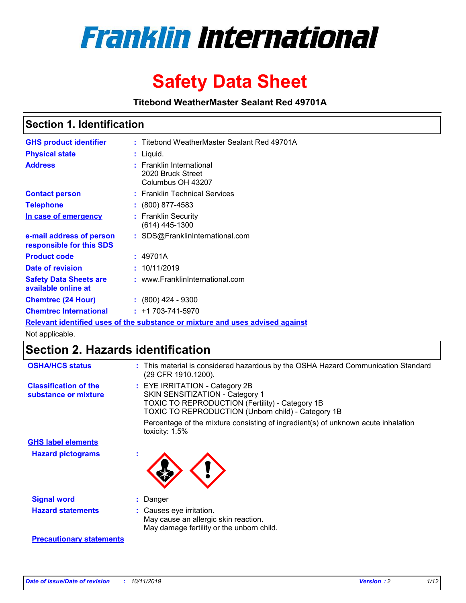

# **Safety Data Sheet**

**Titebond WeatherMaster Sealant Red 49701A**

### **Section 1. Identification**

| <b>GHS product identifier</b>                        | : Titebond WeatherMaster Sealant Red 49701A                                   |
|------------------------------------------------------|-------------------------------------------------------------------------------|
| <b>Physical state</b>                                | : Liquid.                                                                     |
| <b>Address</b>                                       | : Franklin International<br>2020 Bruck Street<br>Columbus OH 43207            |
| <b>Contact person</b>                                | : Franklin Technical Services                                                 |
| <b>Telephone</b>                                     | $\div$ (800) 877-4583                                                         |
| In case of emergency                                 | : Franklin Security<br>(614) 445-1300                                         |
| e-mail address of person<br>responsible for this SDS | : SDS@FranklinInternational.com                                               |
| <b>Product code</b>                                  | : 49701A                                                                      |
| Date of revision                                     | : 10/11/2019                                                                  |
| <b>Safety Data Sheets are</b><br>available online at | : www.FranklinInternational.com                                               |
| <b>Chemtrec (24 Hour)</b>                            | $\div$ (800) 424 - 9300                                                       |
| <b>Chemtrec International</b>                        | $: +1703 - 741 - 5970$                                                        |
|                                                      | Relevant identified uses of the substance or mixture and uses advised against |

Not applicable.

## **Section 2. Hazards identification**

| <b>OSHA/HCS status</b>                               | : This material is considered hazardous by the OSHA Hazard Communication Standard<br>(29 CFR 1910.1200).                                                                                 |
|------------------------------------------------------|------------------------------------------------------------------------------------------------------------------------------------------------------------------------------------------|
| <b>Classification of the</b><br>substance or mixture | : EYE IRRITATION - Category 2B<br>SKIN SENSITIZATION - Category 1<br><b>TOXIC TO REPRODUCTION (Fertility) - Category 1B</b><br><b>TOXIC TO REPRODUCTION (Unborn child) - Category 1B</b> |
|                                                      | Percentage of the mixture consisting of ingredient(s) of unknown acute inhalation<br>toxicity: $1.5\%$                                                                                   |
| <b>GHS label elements</b>                            |                                                                                                                                                                                          |
| <b>Hazard pictograms</b>                             |                                                                                                                                                                                          |
| <b>Signal word</b>                                   | : Danger                                                                                                                                                                                 |
| <b>Hazard statements</b>                             | : Causes eye irritation.<br>May cause an allergic skin reaction.<br>May damage fertility or the unborn child.                                                                            |
| <b>Precautionary statements</b>                      |                                                                                                                                                                                          |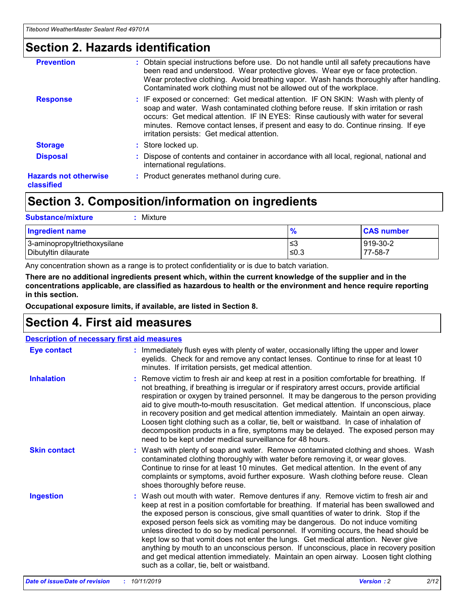## **Section 2. Hazards identification**

| <b>Prevention</b>                          | : Obtain special instructions before use. Do not handle until all safety precautions have<br>been read and understood. Wear protective gloves. Wear eye or face protection.<br>Wear protective clothing. Avoid breathing vapor. Wash hands thoroughly after handling.<br>Contaminated work clothing must not be allowed out of the workplace.                                                        |
|--------------------------------------------|------------------------------------------------------------------------------------------------------------------------------------------------------------------------------------------------------------------------------------------------------------------------------------------------------------------------------------------------------------------------------------------------------|
| <b>Response</b>                            | : IF exposed or concerned: Get medical attention. IF ON SKIN: Wash with plenty of<br>soap and water. Wash contaminated clothing before reuse. If skin irritation or rash<br>occurs: Get medical attention. IF IN EYES: Rinse cautiously with water for several<br>minutes. Remove contact lenses, if present and easy to do. Continue rinsing. If eye<br>irritation persists: Get medical attention. |
| <b>Storage</b>                             | : Store locked up.                                                                                                                                                                                                                                                                                                                                                                                   |
| <b>Disposal</b>                            | : Dispose of contents and container in accordance with all local, regional, national and<br>international regulations.                                                                                                                                                                                                                                                                               |
| <b>Hazards not otherwise</b><br>classified | : Product generates methanol during cure.                                                                                                                                                                                                                                                                                                                                                            |
|                                            |                                                                                                                                                                                                                                                                                                                                                                                                      |

## **Section 3. Composition/information on ingredients**

| <b>Substance/mixture</b><br>Mixture                  |                   |                     |
|------------------------------------------------------|-------------------|---------------------|
| <b>Ingredient name</b>                               | $\frac{9}{6}$     | <b>CAS number</b>   |
| 3-aminopropyltriethoxysilane<br>Dibutyltin dilaurate | l≤3<br>$\leq 0.3$ | 919-30-2<br>77-58-7 |

Any concentration shown as a range is to protect confidentiality or is due to batch variation.

**There are no additional ingredients present which, within the current knowledge of the supplier and in the concentrations applicable, are classified as hazardous to health or the environment and hence require reporting in this section.**

**Occupational exposure limits, if available, are listed in Section 8.**

## **Section 4. First aid measures**

| <b>Description of necessary first aid measures</b> |                                                                                                                                                                                                                                                                                                                                                                                                                                                                                                                                                                                                                                                                                                                                                                           |  |  |  |
|----------------------------------------------------|---------------------------------------------------------------------------------------------------------------------------------------------------------------------------------------------------------------------------------------------------------------------------------------------------------------------------------------------------------------------------------------------------------------------------------------------------------------------------------------------------------------------------------------------------------------------------------------------------------------------------------------------------------------------------------------------------------------------------------------------------------------------------|--|--|--|
| <b>Eye contact</b>                                 | : Immediately flush eyes with plenty of water, occasionally lifting the upper and lower<br>eyelids. Check for and remove any contact lenses. Continue to rinse for at least 10<br>minutes. If irritation persists, get medical attention.                                                                                                                                                                                                                                                                                                                                                                                                                                                                                                                                 |  |  |  |
| <b>Inhalation</b>                                  | : Remove victim to fresh air and keep at rest in a position comfortable for breathing. If<br>not breathing, if breathing is irregular or if respiratory arrest occurs, provide artificial<br>respiration or oxygen by trained personnel. It may be dangerous to the person providing<br>aid to give mouth-to-mouth resuscitation. Get medical attention. If unconscious, place<br>in recovery position and get medical attention immediately. Maintain an open airway.<br>Loosen tight clothing such as a collar, tie, belt or waistband. In case of inhalation of<br>decomposition products in a fire, symptoms may be delayed. The exposed person may<br>need to be kept under medical surveillance for 48 hours.                                                       |  |  |  |
| <b>Skin contact</b>                                | : Wash with plenty of soap and water. Remove contaminated clothing and shoes. Wash<br>contaminated clothing thoroughly with water before removing it, or wear gloves.<br>Continue to rinse for at least 10 minutes. Get medical attention. In the event of any<br>complaints or symptoms, avoid further exposure. Wash clothing before reuse. Clean<br>shoes thoroughly before reuse.                                                                                                                                                                                                                                                                                                                                                                                     |  |  |  |
| <b>Ingestion</b>                                   | : Wash out mouth with water. Remove dentures if any. Remove victim to fresh air and<br>keep at rest in a position comfortable for breathing. If material has been swallowed and<br>the exposed person is conscious, give small quantities of water to drink. Stop if the<br>exposed person feels sick as vomiting may be dangerous. Do not induce vomiting<br>unless directed to do so by medical personnel. If vomiting occurs, the head should be<br>kept low so that vomit does not enter the lungs. Get medical attention. Never give<br>anything by mouth to an unconscious person. If unconscious, place in recovery position<br>and get medical attention immediately. Maintain an open airway. Loosen tight clothing<br>such as a collar, tie, belt or waistband. |  |  |  |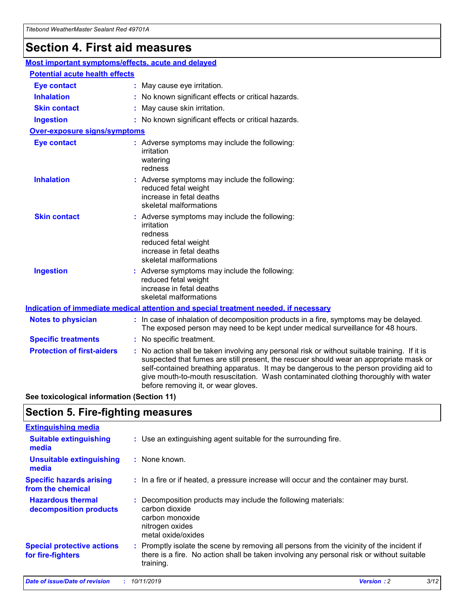## **Section 4. First aid measures**

| Most important symptoms/effects, acute and delayed |  |                                                                                                                                                                                                                                                                                                                                                                                                                 |
|----------------------------------------------------|--|-----------------------------------------------------------------------------------------------------------------------------------------------------------------------------------------------------------------------------------------------------------------------------------------------------------------------------------------------------------------------------------------------------------------|
| <b>Potential acute health effects</b>              |  |                                                                                                                                                                                                                                                                                                                                                                                                                 |
| <b>Eye contact</b>                                 |  | : May cause eye irritation.                                                                                                                                                                                                                                                                                                                                                                                     |
| <b>Inhalation</b>                                  |  | : No known significant effects or critical hazards.                                                                                                                                                                                                                                                                                                                                                             |
| <b>Skin contact</b>                                |  | : May cause skin irritation.                                                                                                                                                                                                                                                                                                                                                                                    |
| <b>Ingestion</b>                                   |  | : No known significant effects or critical hazards.                                                                                                                                                                                                                                                                                                                                                             |
| <b>Over-exposure signs/symptoms</b>                |  |                                                                                                                                                                                                                                                                                                                                                                                                                 |
| <b>Eye contact</b>                                 |  | : Adverse symptoms may include the following:<br>irritation<br>watering<br>redness                                                                                                                                                                                                                                                                                                                              |
| <b>Inhalation</b>                                  |  | : Adverse symptoms may include the following:<br>reduced fetal weight<br>increase in fetal deaths<br>skeletal malformations                                                                                                                                                                                                                                                                                     |
| <b>Skin contact</b>                                |  | : Adverse symptoms may include the following:<br>irritation<br>redness<br>reduced fetal weight<br>increase in fetal deaths<br>skeletal malformations                                                                                                                                                                                                                                                            |
| <b>Ingestion</b>                                   |  | : Adverse symptoms may include the following:<br>reduced fetal weight<br>increase in fetal deaths<br>skeletal malformations                                                                                                                                                                                                                                                                                     |
|                                                    |  | <b>Indication of immediate medical attention and special treatment needed, if necessary</b>                                                                                                                                                                                                                                                                                                                     |
| <b>Notes to physician</b>                          |  | : In case of inhalation of decomposition products in a fire, symptoms may be delayed.<br>The exposed person may need to be kept under medical surveillance for 48 hours.                                                                                                                                                                                                                                        |
| <b>Specific treatments</b>                         |  | : No specific treatment.                                                                                                                                                                                                                                                                                                                                                                                        |
| <b>Protection of first-aiders</b>                  |  | : No action shall be taken involving any personal risk or without suitable training. If it is<br>suspected that fumes are still present, the rescuer should wear an appropriate mask or<br>self-contained breathing apparatus. It may be dangerous to the person providing aid to<br>give mouth-to-mouth resuscitation. Wash contaminated clothing thoroughly with water<br>before removing it, or wear gloves. |

**See toxicological information (Section 11)**

## **Section 5. Fire-fighting measures**

| <b>Extinguishing media</b>                             |                                                                                                                                                                                                     |
|--------------------------------------------------------|-----------------------------------------------------------------------------------------------------------------------------------------------------------------------------------------------------|
| <b>Suitable extinguishing</b><br>media                 | : Use an extinguishing agent suitable for the surrounding fire.                                                                                                                                     |
| <b>Unsuitable extinguishing</b><br>media               | $:$ None known.                                                                                                                                                                                     |
| <b>Specific hazards arising</b><br>from the chemical   | : In a fire or if heated, a pressure increase will occur and the container may burst.                                                                                                               |
| <b>Hazardous thermal</b><br>decomposition products     | : Decomposition products may include the following materials:<br>carbon dioxide<br>carbon monoxide<br>nitrogen oxides<br>metal oxide/oxides                                                         |
| <b>Special protective actions</b><br>for fire-fighters | : Promptly isolate the scene by removing all persons from the vicinity of the incident if<br>there is a fire. No action shall be taken involving any personal risk or without suitable<br>training. |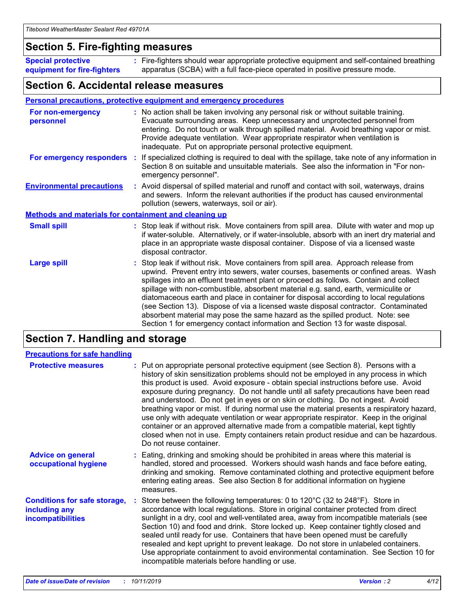### **Section 5. Fire-fighting measures**

**Special protective equipment for fire-fighters** Fire-fighters should wear appropriate protective equipment and self-contained breathing **:** apparatus (SCBA) with a full face-piece operated in positive pressure mode.

### **Section 6. Accidental release measures**

#### **Personal precautions, protective equipment and emergency procedures**

| For non-emergency<br>personnel                               | : No action shall be taken involving any personal risk or without suitable training.<br>Evacuate surrounding areas. Keep unnecessary and unprotected personnel from<br>entering. Do not touch or walk through spilled material. Avoid breathing vapor or mist.<br>Provide adequate ventilation. Wear appropriate respirator when ventilation is<br>inadequate. Put on appropriate personal protective equipment.                                                                                                                                                                                                                                                                                             |
|--------------------------------------------------------------|--------------------------------------------------------------------------------------------------------------------------------------------------------------------------------------------------------------------------------------------------------------------------------------------------------------------------------------------------------------------------------------------------------------------------------------------------------------------------------------------------------------------------------------------------------------------------------------------------------------------------------------------------------------------------------------------------------------|
|                                                              | For emergency responders : If specialized clothing is required to deal with the spillage, take note of any information in<br>Section 8 on suitable and unsuitable materials. See also the information in "For non-<br>emergency personnel".                                                                                                                                                                                                                                                                                                                                                                                                                                                                  |
| <b>Environmental precautions</b>                             | : Avoid dispersal of spilled material and runoff and contact with soil, waterways, drains<br>and sewers. Inform the relevant authorities if the product has caused environmental<br>pollution (sewers, waterways, soil or air).                                                                                                                                                                                                                                                                                                                                                                                                                                                                              |
| <b>Methods and materials for containment and cleaning up</b> |                                                                                                                                                                                                                                                                                                                                                                                                                                                                                                                                                                                                                                                                                                              |
| <b>Small spill</b>                                           | : Stop leak if without risk. Move containers from spill area. Dilute with water and mop up<br>if water-soluble. Alternatively, or if water-insoluble, absorb with an inert dry material and<br>place in an appropriate waste disposal container. Dispose of via a licensed waste<br>disposal contractor.                                                                                                                                                                                                                                                                                                                                                                                                     |
| <b>Large spill</b>                                           | : Stop leak if without risk. Move containers from spill area. Approach release from<br>upwind. Prevent entry into sewers, water courses, basements or confined areas. Wash<br>spillages into an effluent treatment plant or proceed as follows. Contain and collect<br>spillage with non-combustible, absorbent material e.g. sand, earth, vermiculite or<br>diatomaceous earth and place in container for disposal according to local regulations<br>(see Section 13). Dispose of via a licensed waste disposal contractor. Contaminated<br>absorbent material may pose the same hazard as the spilled product. Note: see<br>Section 1 for emergency contact information and Section 13 for waste disposal. |

## **Section 7. Handling and storage**

| <b>Precautions for safe handling</b>                                             |                                                                                                                                                                                                                                                                                                                                                                                                                                                                                                                                                                                                                                                                                                                                                                                                                                                  |
|----------------------------------------------------------------------------------|--------------------------------------------------------------------------------------------------------------------------------------------------------------------------------------------------------------------------------------------------------------------------------------------------------------------------------------------------------------------------------------------------------------------------------------------------------------------------------------------------------------------------------------------------------------------------------------------------------------------------------------------------------------------------------------------------------------------------------------------------------------------------------------------------------------------------------------------------|
| <b>Protective measures</b>                                                       | : Put on appropriate personal protective equipment (see Section 8). Persons with a<br>history of skin sensitization problems should not be employed in any process in which<br>this product is used. Avoid exposure - obtain special instructions before use. Avoid<br>exposure during pregnancy. Do not handle until all safety precautions have been read<br>and understood. Do not get in eyes or on skin or clothing. Do not ingest. Avoid<br>breathing vapor or mist. If during normal use the material presents a respiratory hazard,<br>use only with adequate ventilation or wear appropriate respirator. Keep in the original<br>container or an approved alternative made from a compatible material, kept tightly<br>closed when not in use. Empty containers retain product residue and can be hazardous.<br>Do not reuse container. |
| <b>Advice on general</b><br>occupational hygiene                                 | : Eating, drinking and smoking should be prohibited in areas where this material is<br>handled, stored and processed. Workers should wash hands and face before eating,<br>drinking and smoking. Remove contaminated clothing and protective equipment before<br>entering eating areas. See also Section 8 for additional information on hygiene<br>measures.                                                                                                                                                                                                                                                                                                                                                                                                                                                                                    |
| <b>Conditions for safe storage,</b><br>including any<br><b>incompatibilities</b> | : Store between the following temperatures: 0 to 120 $\degree$ C (32 to 248 $\degree$ F). Store in<br>accordance with local regulations. Store in original container protected from direct<br>sunlight in a dry, cool and well-ventilated area, away from incompatible materials (see<br>Section 10) and food and drink. Store locked up. Keep container tightly closed and<br>sealed until ready for use. Containers that have been opened must be carefully<br>resealed and kept upright to prevent leakage. Do not store in unlabeled containers.<br>Use appropriate containment to avoid environmental contamination. See Section 10 for<br>incompatible materials before handling or use.                                                                                                                                                   |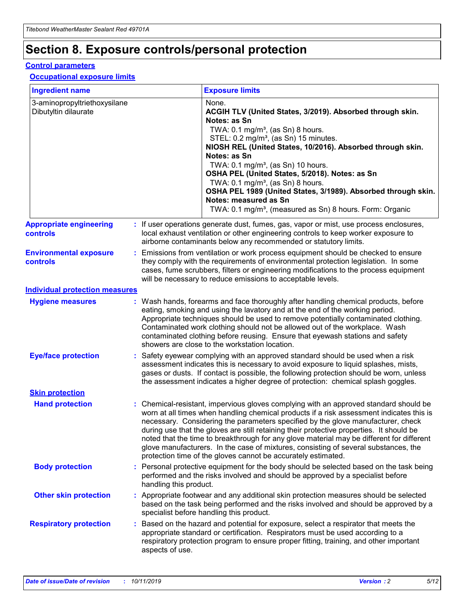## **Section 8. Exposure controls/personal protection**

#### **Control parameters**

#### **Occupational exposure limits**

| <b>Ingredient name</b>                               |    |                        | <b>Exposure limits</b>                                                                                                                                                                                                                                                                                                                                                                                                                                                                                                                                                                                                 |
|------------------------------------------------------|----|------------------------|------------------------------------------------------------------------------------------------------------------------------------------------------------------------------------------------------------------------------------------------------------------------------------------------------------------------------------------------------------------------------------------------------------------------------------------------------------------------------------------------------------------------------------------------------------------------------------------------------------------------|
| 3-aminopropyltriethoxysilane<br>Dibutyltin dilaurate |    |                        | None.<br>ACGIH TLV (United States, 3/2019). Absorbed through skin.<br>Notes: as Sn<br>TWA: $0.1 \text{ mg/m}^3$ , (as Sn) 8 hours.<br>STEL: 0.2 mg/m <sup>3</sup> , (as Sn) 15 minutes.<br>NIOSH REL (United States, 10/2016). Absorbed through skin.<br>Notes: as Sn<br>TWA: 0.1 mg/m <sup>3</sup> , (as Sn) 10 hours.<br>OSHA PEL (United States, 5/2018). Notes: as Sn<br>TWA: $0.1 \text{ mg/m}^3$ , (as Sn) 8 hours.<br>OSHA PEL 1989 (United States, 3/1989). Absorbed through skin.<br>Notes: measured as Sn<br>TWA: 0.1 mg/m <sup>3</sup> , (measured as Sn) 8 hours. Form: Organic                            |
| <b>Appropriate engineering</b><br>controls           |    |                        | : If user operations generate dust, fumes, gas, vapor or mist, use process enclosures,<br>local exhaust ventilation or other engineering controls to keep worker exposure to<br>airborne contaminants below any recommended or statutory limits.                                                                                                                                                                                                                                                                                                                                                                       |
| <b>Environmental exposure</b><br>controls            |    |                        | Emissions from ventilation or work process equipment should be checked to ensure<br>they comply with the requirements of environmental protection legislation. In some<br>cases, fume scrubbers, filters or engineering modifications to the process equipment<br>will be necessary to reduce emissions to acceptable levels.                                                                                                                                                                                                                                                                                          |
| <b>Individual protection measures</b>                |    |                        |                                                                                                                                                                                                                                                                                                                                                                                                                                                                                                                                                                                                                        |
| <b>Hygiene measures</b>                              |    |                        | : Wash hands, forearms and face thoroughly after handling chemical products, before<br>eating, smoking and using the lavatory and at the end of the working period.<br>Appropriate techniques should be used to remove potentially contaminated clothing.<br>Contaminated work clothing should not be allowed out of the workplace. Wash<br>contaminated clothing before reusing. Ensure that eyewash stations and safety<br>showers are close to the workstation location.                                                                                                                                            |
| <b>Eye/face protection</b>                           |    |                        | : Safety eyewear complying with an approved standard should be used when a risk<br>assessment indicates this is necessary to avoid exposure to liquid splashes, mists,<br>gases or dusts. If contact is possible, the following protection should be worn, unless<br>the assessment indicates a higher degree of protection: chemical splash goggles.                                                                                                                                                                                                                                                                  |
| <b>Skin protection</b>                               |    |                        |                                                                                                                                                                                                                                                                                                                                                                                                                                                                                                                                                                                                                        |
| <b>Hand protection</b>                               |    |                        | : Chemical-resistant, impervious gloves complying with an approved standard should be<br>worn at all times when handling chemical products if a risk assessment indicates this is<br>necessary. Considering the parameters specified by the glove manufacturer, check<br>during use that the gloves are still retaining their protective properties. It should be<br>noted that the time to breakthrough for any glove material may be different for different<br>glove manufacturers. In the case of mixtures, consisting of several substances, the<br>protection time of the gloves cannot be accurately estimated. |
| <b>Body protection</b>                               |    | handling this product. | Personal protective equipment for the body should be selected based on the task being<br>performed and the risks involved and should be approved by a specialist before                                                                                                                                                                                                                                                                                                                                                                                                                                                |
| <b>Other skin protection</b>                         |    |                        | : Appropriate footwear and any additional skin protection measures should be selected<br>based on the task being performed and the risks involved and should be approved by a<br>specialist before handling this product.                                                                                                                                                                                                                                                                                                                                                                                              |
| <b>Respiratory protection</b>                        | ÷. | aspects of use.        | Based on the hazard and potential for exposure, select a respirator that meets the<br>appropriate standard or certification. Respirators must be used according to a<br>respiratory protection program to ensure proper fitting, training, and other important                                                                                                                                                                                                                                                                                                                                                         |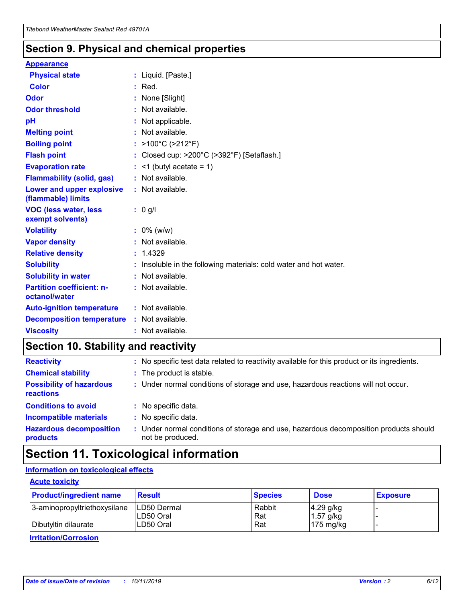## **Section 9. Physical and chemical properties**

#### **Appearance**

| <b>Physical state</b>                             | : Liquid. [Paste.]                                              |
|---------------------------------------------------|-----------------------------------------------------------------|
| Color                                             | $:$ Red.                                                        |
| Odor                                              | : None [Slight]                                                 |
| <b>Odor threshold</b>                             | $:$ Not available.                                              |
| рH                                                | : Not applicable.                                               |
| <b>Melting point</b>                              | : Not available.                                                |
| <b>Boiling point</b>                              | : >100°C (>212°F)                                               |
| <b>Flash point</b>                                | : Closed cup: $>200^{\circ}$ C ( $>392^{\circ}$ F) [Setaflash.] |
| <b>Evaporation rate</b>                           | $:$ <1 (butyl acetate = 1)                                      |
| <b>Flammability (solid, gas)</b>                  | : Not available.                                                |
| Lower and upper explosive<br>(flammable) limits   | : Not available.                                                |
| <b>VOC (less water, less</b><br>exempt solvents)  | : 0 g/l                                                         |
| <b>Volatility</b>                                 | $: 0\%$ (w/w)                                                   |
| <b>Vapor density</b>                              | : Not available.                                                |
| <b>Relative density</b>                           | : 1.4329                                                        |
| <b>Solubility</b>                                 | Insoluble in the following materials: cold water and hot water. |
| <b>Solubility in water</b>                        | : Not available.                                                |
| <b>Partition coefficient: n-</b><br>octanol/water | $:$ Not available.                                              |
| <b>Auto-ignition temperature</b>                  | : Not available.                                                |
| <b>Decomposition temperature</b>                  | : Not available.                                                |
|                                                   |                                                                 |

## **Section 10. Stability and reactivity**

| <b>Reactivity</b>                            |    | : No specific test data related to reactivity available for this product or its ingredients.            |
|----------------------------------------------|----|---------------------------------------------------------------------------------------------------------|
| <b>Chemical stability</b>                    |    | : The product is stable.                                                                                |
| <b>Possibility of hazardous</b><br>reactions |    | : Under normal conditions of storage and use, hazardous reactions will not occur.                       |
| <b>Conditions to avoid</b>                   |    | : No specific data.                                                                                     |
| <b>Incompatible materials</b>                | ٠. | No specific data.                                                                                       |
| <b>Hazardous decomposition</b><br>products   | ÷. | Under normal conditions of storage and use, hazardous decomposition products should<br>not be produced. |

## **Section 11. Toxicological information**

#### **Information on toxicological effects**

#### **Acute toxicity**

| <b>Product/ingredient name</b> | <b>Result</b>           | <b>Species</b> | <b>Dose</b>                | <b>Exposure</b> |
|--------------------------------|-------------------------|----------------|----------------------------|-----------------|
| 3-aminopropyltriethoxysilane   | <b>ILD50 Dermal</b>     | Rabbit         | 4.29 g/kg                  |                 |
| Dibutyltin dilaurate           | ILD50 Oral<br>LD50 Oral | Rat<br>Rat     | $1.57$ g/kg<br>175 $mg/kg$ |                 |
|                                |                         |                |                            |                 |

**Irritation/Corrosion**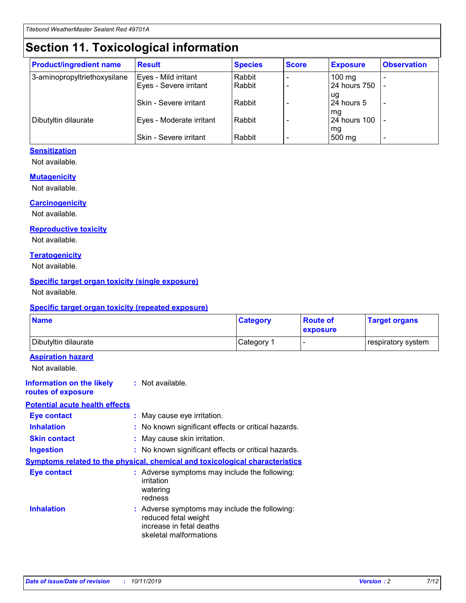## **Section 11. Toxicological information**

| <b>Product/ingredient name</b> | <b>Result</b>                 | <b>Species</b> | <b>Score</b> | <b>Exposure</b>           | <b>Observation</b> |
|--------------------------------|-------------------------------|----------------|--------------|---------------------------|--------------------|
| 3-aminopropyltriethoxysilane   | Eyes - Mild irritant          | Rabbit         |              | $100$ mg                  |                    |
|                                | Eyes - Severe irritant        | Rabbit         |              | 24 hours 750              |                    |
|                                |                               |                |              | ug                        |                    |
|                                | <b>Skin - Severe irritant</b> | Rabbit         |              | 24 hours 5                | ۰                  |
| Dibutyltin dilaurate           | Eyes - Moderate irritant      | Rabbit         |              | mq<br><b>24 hours 100</b> |                    |
|                                |                               |                |              | mg                        |                    |
|                                | Skin - Severe irritant        | Rabbit         |              | 500 mg                    |                    |

#### **Sensitization**

Not available.

#### **Mutagenicity**

Not available.

#### **Carcinogenicity**

Not available.

#### **Reproductive toxicity**

Not available.

#### **Teratogenicity**

Not available.

#### **Specific target organ toxicity (single exposure)**

Not available.

#### **Specific target organ toxicity (repeated exposure)**

| <b>Name</b>                                                                         |                                                                            | <b>Category</b>                                     | <b>Route of</b><br>exposure | <b>Target organs</b> |
|-------------------------------------------------------------------------------------|----------------------------------------------------------------------------|-----------------------------------------------------|-----------------------------|----------------------|
| Dibutyltin dilaurate                                                                |                                                                            | Category 1                                          |                             | respiratory system   |
| <b>Aspiration hazard</b><br>Not available.                                          |                                                                            |                                                     |                             |                      |
| <b>Information on the likely</b><br>routes of exposure                              | : Not available.                                                           |                                                     |                             |                      |
| <b>Potential acute health effects</b>                                               |                                                                            |                                                     |                             |                      |
| <b>Eye contact</b>                                                                  | : May cause eye irritation.                                                |                                                     |                             |                      |
| <b>Inhalation</b>                                                                   |                                                                            | : No known significant effects or critical hazards. |                             |                      |
| <b>Skin contact</b>                                                                 | : May cause skin irritation.                                               |                                                     |                             |                      |
| <b>Ingestion</b>                                                                    |                                                                            | : No known significant effects or critical hazards. |                             |                      |
| <b>Symptoms related to the physical, chemical and toxicological characteristics</b> |                                                                            |                                                     |                             |                      |
| <b>Eye contact</b>                                                                  | irritation<br>watering<br>redness                                          | : Adverse symptoms may include the following:       |                             |                      |
| <b>Inhalation</b>                                                                   | reduced fetal weight<br>increase in fetal deaths<br>skeletal malformations | : Adverse symptoms may include the following:       |                             |                      |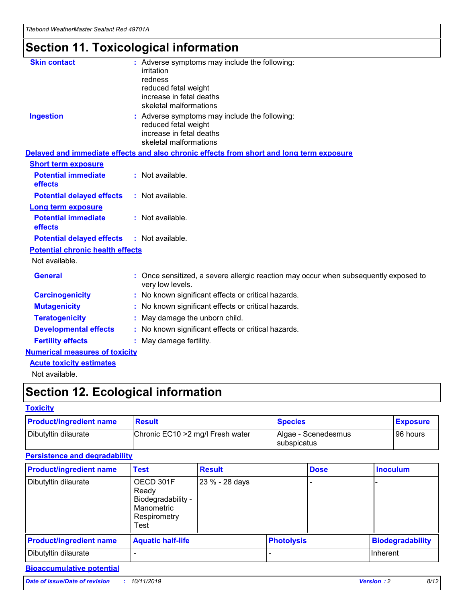## **Section 11. Toxicological information**

| <b>Skin contact</b>                     | : Adverse symptoms may include the following:                                                            |
|-----------------------------------------|----------------------------------------------------------------------------------------------------------|
|                                         | irritation                                                                                               |
|                                         | redness                                                                                                  |
|                                         | reduced fetal weight                                                                                     |
|                                         | increase in fetal deaths                                                                                 |
|                                         | skeletal malformations                                                                                   |
| <b>Ingestion</b>                        | : Adverse symptoms may include the following:                                                            |
|                                         | reduced fetal weight                                                                                     |
|                                         | increase in fetal deaths                                                                                 |
|                                         | skeletal malformations                                                                                   |
|                                         | Delayed and immediate effects and also chronic effects from short and long term exposure                 |
| <b>Short term exposure</b>              |                                                                                                          |
| <b>Potential immediate</b>              | : Not available.                                                                                         |
| effects                                 |                                                                                                          |
| <b>Potential delayed effects</b>        | : Not available.                                                                                         |
| Long term exposure                      |                                                                                                          |
| <b>Potential immediate</b>              | : Not available.                                                                                         |
| effects                                 |                                                                                                          |
| <b>Potential delayed effects</b>        | : Not available.                                                                                         |
| <b>Potential chronic health effects</b> |                                                                                                          |
| Not available.                          |                                                                                                          |
| <b>General</b>                          | : Once sensitized, a severe allergic reaction may occur when subsequently exposed to<br>very low levels. |
| <b>Carcinogenicity</b>                  | : No known significant effects or critical hazards.                                                      |
| <b>Mutagenicity</b>                     | : No known significant effects or critical hazards.                                                      |
| <b>Teratogenicity</b>                   | May damage the unborn child.                                                                             |
| <b>Developmental effects</b>            | : No known significant effects or critical hazards.                                                      |
| <b>Fertility effects</b>                | May damage fertility.                                                                                    |
| <b>Numerical measures of toxicity</b>   |                                                                                                          |
| <b>Acute toxicity estimates</b>         |                                                                                                          |
| الملمانة المستنقط فالمرابط              |                                                                                                          |

Not available.

## **Section 12. Ecological information**

#### **Toxicity**

| <b>Product/ingredient name</b> | <b>Result</b>                     | <b>Species</b>                       | <b>Exposure</b> |
|--------------------------------|-----------------------------------|--------------------------------------|-----------------|
| Dibutyltin dilaurate           | Chronic EC10 > 2 mg/l Fresh water | Algae - Scenedesmus<br>I subspicatus | l 96 hours i    |

#### **Persistence and degradability**

| <b>Product/ingredient name</b> | <b>Test</b>                                                                    | <b>Result</b>  |                   | <b>Dose</b> | <b>Inoculum</b>         |
|--------------------------------|--------------------------------------------------------------------------------|----------------|-------------------|-------------|-------------------------|
| Dibutyltin dilaurate           | OECD 301F<br>Ready<br>Biodegradability -<br>Manometric<br>Respirometry<br>Test | 23 % - 28 days |                   |             |                         |
| <b>Product/ingredient name</b> | <b>Aquatic half-life</b>                                                       |                | <b>Photolysis</b> |             | <b>Biodegradability</b> |
| Dibutyltin dilaurate           |                                                                                |                |                   |             | <b>Inherent</b>         |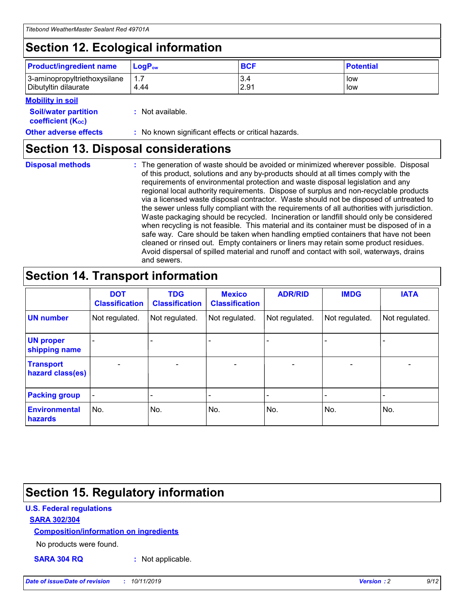## **Section 12. Ecological information**

| <b>Product/ingredient name</b> | $LoaPow$ | <b>BCF</b> | <b>Potential</b> |
|--------------------------------|----------|------------|------------------|
| 3-aminopropyltriethoxysilane   | 1.7      | 3.4        | low              |
| Dibutyltin dilaurate           | 4.44     | 2.91       | low              |

#### **Mobility in soil**

| <b>Soil/water partition</b><br>coefficient (K <sub>oc</sub> ) | : Not available.                                    |
|---------------------------------------------------------------|-----------------------------------------------------|
| <b>Other adverse effects</b>                                  | : No known significant effects or critical hazards. |

## **Section 13. Disposal considerations**

**Disposal methods :**

The generation of waste should be avoided or minimized wherever possible. Disposal of this product, solutions and any by-products should at all times comply with the requirements of environmental protection and waste disposal legislation and any regional local authority requirements. Dispose of surplus and non-recyclable products via a licensed waste disposal contractor. Waste should not be disposed of untreated to the sewer unless fully compliant with the requirements of all authorities with jurisdiction. Waste packaging should be recycled. Incineration or landfill should only be considered when recycling is not feasible. This material and its container must be disposed of in a safe way. Care should be taken when handling emptied containers that have not been cleaned or rinsed out. Empty containers or liners may retain some product residues. Avoid dispersal of spilled material and runoff and contact with soil, waterways, drains and sewers.

## **Section 14. Transport information**

|                                      | <b>DOT</b><br><b>Classification</b> | <b>TDG</b><br><b>Classification</b> | <b>Mexico</b><br><b>Classification</b> | <b>ADR/RID</b>           | <b>IMDG</b>              | <b>IATA</b>    |
|--------------------------------------|-------------------------------------|-------------------------------------|----------------------------------------|--------------------------|--------------------------|----------------|
| <b>UN number</b>                     | Not regulated.                      | Not regulated.                      | Not regulated.                         | Not regulated.           | Not regulated.           | Not regulated. |
| <b>UN proper</b><br>shipping name    |                                     |                                     |                                        |                          |                          |                |
| <b>Transport</b><br>hazard class(es) | $\overline{\phantom{a}}$            | $\overline{\phantom{0}}$            | $\overline{\phantom{0}}$               | $\overline{\phantom{0}}$ | $\overline{\phantom{0}}$ | $\blacksquare$ |
| <b>Packing group</b>                 | $\overline{\phantom{a}}$            |                                     |                                        |                          | -                        |                |
| <b>Environmental</b><br>hazards      | No.                                 | No.                                 | No.                                    | No.                      | No.                      | No.            |

## **Section 15. Regulatory information**

#### **U.S. Federal regulations**

#### **SARA 302/304**

#### **Composition/information on ingredients**

No products were found.

**SARA 304 RQ :** Not applicable.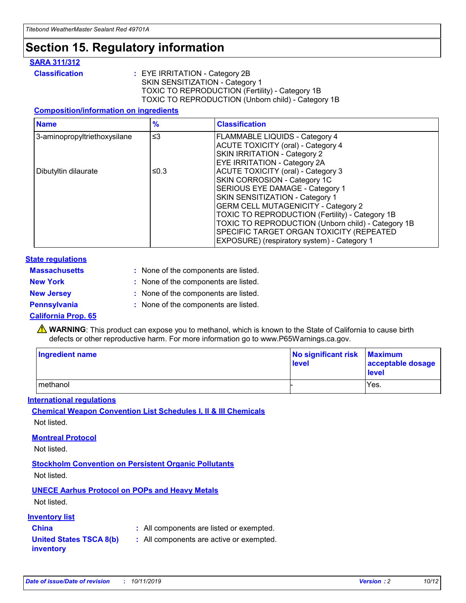## **Section 15. Regulatory information**

#### **SARA 311/312**

**Classification :** EYE IRRITATION - Category 2B SKIN SENSITIZATION - Category 1 TOXIC TO REPRODUCTION (Fertility) - Category 1B TOXIC TO REPRODUCTION (Unborn child) - Category 1B

#### **Composition/information on ingredients**

| <b>Name</b>                  | $\frac{9}{6}$ | <b>Classification</b>                                                                                                                                                                                                                                                                                                                  |  |
|------------------------------|---------------|----------------------------------------------------------------------------------------------------------------------------------------------------------------------------------------------------------------------------------------------------------------------------------------------------------------------------------------|--|
| 3-aminopropyltriethoxysilane | $\leq$ 3      | <b>FLAMMABLE LIQUIDS - Category 4</b><br><b>ACUTE TOXICITY (oral) - Category 4</b><br>SKIN IRRITATION - Category 2                                                                                                                                                                                                                     |  |
| Dibutyltin dilaurate         | ≤0.3          | EYE IRRITATION - Category 2A<br><b>ACUTE TOXICITY (oral) - Category 3</b><br>SKIN CORROSION - Category 1C<br>SERIOUS EYE DAMAGE - Category 1<br>SKIN SENSITIZATION - Category 1<br><b>GERM CELL MUTAGENICITY - Category 2</b><br>TOXIC TO REPRODUCTION (Fertility) - Category 1B<br>TOXIC TO REPRODUCTION (Unborn child) - Category 1B |  |
|                              |               | SPECIFIC TARGET ORGAN TOXICITY (REPEATED<br>EXPOSURE) (respiratory system) - Category 1                                                                                                                                                                                                                                                |  |

#### **State regulations**

| <b>Massachusetts</b> | : None of the components are listed. |
|----------------------|--------------------------------------|
| <b>New York</b>      | : None of the components are listed. |
| <b>New Jersey</b>    | : None of the components are listed. |
| <b>Pennsylvania</b>  | : None of the components are listed. |

#### **California Prop. 65**

**A** WARNING: This product can expose you to methanol, which is known to the State of California to cause birth defects or other reproductive harm. For more information go to www.P65Warnings.ca.gov.

| <b>Ingredient name</b> | No significant risk Maximum<br>level | acceptable dosage<br>level |
|------------------------|--------------------------------------|----------------------------|
| methanol               |                                      | Yes.                       |

#### **International regulations**

**Chemical Weapon Convention List Schedules I, II & III Chemicals** Not listed.

#### **Montreal Protocol**

Not listed.

**Stockholm Convention on Persistent Organic Pollutants**

Not listed.

#### **UNECE Aarhus Protocol on POPs and Heavy Metals**

Not listed.

#### **Inventory list**

## **China :** All components are listed or exempted.

**United States TSCA 8(b) inventory :** All components are active or exempted.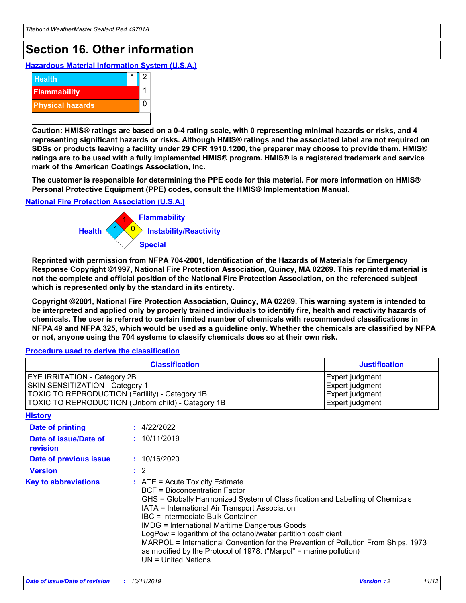## **Section 16. Other information**

**Hazardous Material Information System (U.S.A.)**



**Caution: HMIS® ratings are based on a 0-4 rating scale, with 0 representing minimal hazards or risks, and 4 representing significant hazards or risks. Although HMIS® ratings and the associated label are not required on SDSs or products leaving a facility under 29 CFR 1910.1200, the preparer may choose to provide them. HMIS® ratings are to be used with a fully implemented HMIS® program. HMIS® is a registered trademark and service mark of the American Coatings Association, Inc.**

**The customer is responsible for determining the PPE code for this material. For more information on HMIS® Personal Protective Equipment (PPE) codes, consult the HMIS® Implementation Manual.**

#### **National Fire Protection Association (U.S.A.)**



**Reprinted with permission from NFPA 704-2001, Identification of the Hazards of Materials for Emergency Response Copyright ©1997, National Fire Protection Association, Quincy, MA 02269. This reprinted material is not the complete and official position of the National Fire Protection Association, on the referenced subject which is represented only by the standard in its entirety.**

**Copyright ©2001, National Fire Protection Association, Quincy, MA 02269. This warning system is intended to be interpreted and applied only by properly trained individuals to identify fire, health and reactivity hazards of chemicals. The user is referred to certain limited number of chemicals with recommended classifications in NFPA 49 and NFPA 325, which would be used as a guideline only. Whether the chemicals are classified by NFPA or not, anyone using the 704 systems to classify chemicals does so at their own risk.**

#### **Procedure used to derive the classification**

| <b>Classification</b>                                                                                                                                                                  |                                                                                                                                                                                                                                                                   | <b>Justification</b>                                                                                                                                                                                                                                                                                       |  |
|----------------------------------------------------------------------------------------------------------------------------------------------------------------------------------------|-------------------------------------------------------------------------------------------------------------------------------------------------------------------------------------------------------------------------------------------------------------------|------------------------------------------------------------------------------------------------------------------------------------------------------------------------------------------------------------------------------------------------------------------------------------------------------------|--|
| <b>EYE IRRITATION - Category 2B</b><br>SKIN SENSITIZATION - Category 1<br><b>TOXIC TO REPRODUCTION (Fertility) - Category 1B</b><br>TOXIC TO REPRODUCTION (Unborn child) - Category 1B |                                                                                                                                                                                                                                                                   | Expert judgment<br>Expert judgment<br>Expert judgment<br>Expert judgment                                                                                                                                                                                                                                   |  |
| <b>History</b>                                                                                                                                                                         |                                                                                                                                                                                                                                                                   |                                                                                                                                                                                                                                                                                                            |  |
| <b>Date of printing</b>                                                                                                                                                                | : 4/22/2022                                                                                                                                                                                                                                                       |                                                                                                                                                                                                                                                                                                            |  |
| Date of issue/Date of<br>revision                                                                                                                                                      | : 10/11/2019                                                                                                                                                                                                                                                      |                                                                                                                                                                                                                                                                                                            |  |
| Date of previous issue                                                                                                                                                                 | : 10/16/2020                                                                                                                                                                                                                                                      |                                                                                                                                                                                                                                                                                                            |  |
| <b>Version</b>                                                                                                                                                                         | $\therefore$ 2                                                                                                                                                                                                                                                    |                                                                                                                                                                                                                                                                                                            |  |
| <b>Key to abbreviations</b>                                                                                                                                                            | $\therefore$ ATE = Acute Toxicity Estimate<br><b>BCF</b> = Bioconcentration Factor<br>IATA = International Air Transport Association<br><b>IBC</b> = Intermediate Bulk Container<br><b>IMDG = International Maritime Dangerous Goods</b><br>$UN = United Nations$ | GHS = Globally Harmonized System of Classification and Labelling of Chemicals<br>LogPow = logarithm of the octanol/water partition coefficient<br>MARPOL = International Convention for the Prevention of Pollution From Ships, 1973<br>as modified by the Protocol of 1978. ("Marpol" = marine pollution) |  |